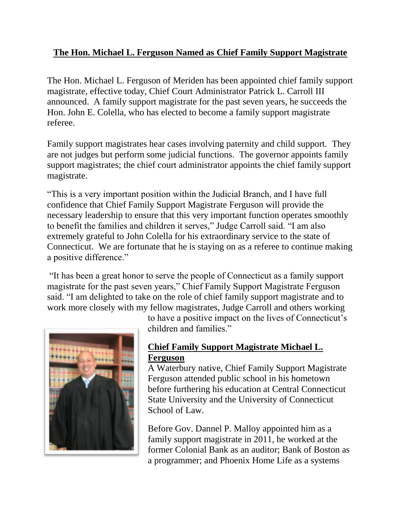## **The Hon. Michael L. Ferguson Named as Chief Family Support Magistrate**

The Hon. Michael L. Ferguson of Meriden has been appointed chief family support magistrate, effective today, Chief Court Administrator Patrick L. Carroll III announced. A family support magistrate for the past seven years, he succeeds the Hon. John E. Colella, who has elected to become a family support magistrate referee.

Family support magistrates hear cases involving paternity and child support. They are not judges but perform some judicial functions. The governor appoints family support magistrates; the chief court administrator appoints the chief family support magistrate.

"This is a very important position within the Judicial Branch, and I have full confidence that Chief Family Support Magistrate Ferguson will provide the necessary leadership to ensure that this very important function operates smoothly to benefit the families and children it serves," Judge Carroll said. "I am also extremely grateful to John Colella for his extraordinary service to the state of Connecticut. We are fortunate that he is staying on as a referee to continue making a positive difference."

"It has been a great honor to serve the people of Connecticut as a family support magistrate for the past seven years," Chief Family Support Magistrate Ferguson said. "I am delighted to take on the role of chief family support magistrate and to work more closely with my fellow magistrates, Judge Carroll and others working



to have a positive impact on the lives of Connecticut's children and families."

## **Chief Family Support Magistrate Michael L. Ferguson**

A Waterbury native, Chief Family Support Magistrate Ferguson attended public school in his hometown before furthering his education at Central Connecticut State University and the University of Connecticut School of Law.

Before Gov. Dannel P. Malloy appointed him as a family support magistrate in 2011, he worked at the former Colonial Bank as an auditor; Bank of Boston as a programmer; and Phoenix Home Life as a systems